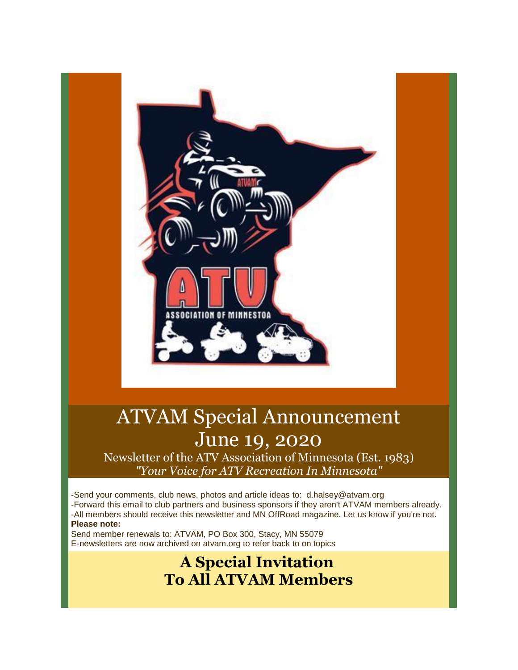

# ATVAM Special Announcement June 19, 2020

Newsletter of the ATV Association of Minnesota (Est. 1983) *"Your Voice for ATV Recreation In Minnesota"*

-Send your comments, club news, photos and article ideas to: d.halsey@atvam.org -Forward this email to club partners and business sponsors if they aren't ATVAM members already. -All members should receive this newsletter and MN OffRoad magazine. Let us know if you're not. **Please note:**

Send member renewals to: ATVAM, PO Box 300, Stacy, MN 55079 E-newsletters are now archived on atvam.org to refer back to on topics

## **A Special Invitation To All ATVAM Members**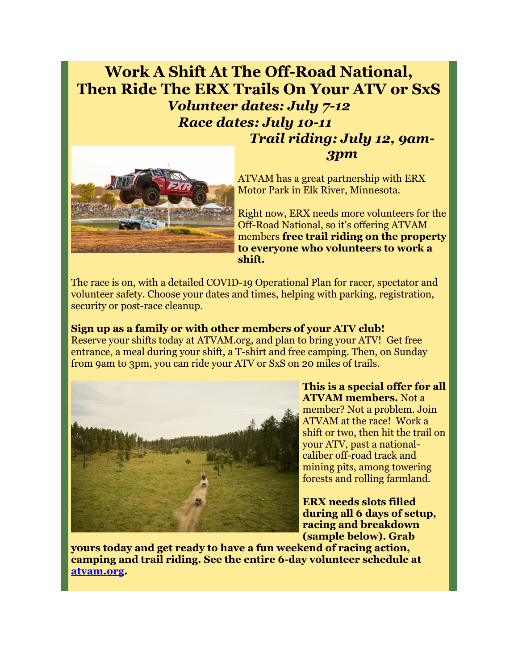### **Work A Shift At The Off-Road National, Then Ride The ERX Trails On Your ATV or SxS** *Volunteer dates: July 7-12 Race dates: July 10-11 Trail riding: July 12, 9am-*



ATVAM has a great partnership with ERX Motor Park in Elk River, Minnesota.

*3pm*

Right now, ERX needs more volunteers for the Off-Road National, so it's offering ATVAM members **free trail riding on the property to everyone who volunteers to work a shift.**

The race is on, with a detailed COVID-19 Operational Plan for racer, spectator and volunteer safety. Choose your dates and times, helping with parking, registration, security or post-race cleanup.

#### **Sign up as a family or with other members of your ATV club!**

Reserve your shifts today at ATVAM.org, and plan to bring your ATV! Get free entrance, a meal during your shift, a T-shirt and free camping. Then, on Sunday from 9am to 3pm, you can ride your ATV or SxS on 20 miles of trails.



**This is a special offer for all ATVAM members.** Not a member? Not a problem. Join ATVAM at the race! Work a shift or two, then hit the trail on your ATV, past a nationalcaliber off-road track and mining pits, among towering forests and rolling farmland.

**ERX needs slots filled during all 6 days of setup, racing and breakdown (sample below). Grab** 

**yours today and get ready to have a fun weekend of racing action, camping and trail riding. See the entire 6-day volunteer schedule at [atvam.org.](http://r20.rs6.net/tn.jsp?f=001NIdW6i8ml0SY8tNt3boB99K5BxEIX8Pv_aI7V3IClxe_WKl6YHK1a4Ym1sE44ceeiPcYLYQc_B_Yw0TIkSUmBZhjD56DaWRMLGERu0gVyRUrRgJLGUjWmZzTbczh_j_iUncSWwObhuWmtS6FeUdrnykksLXm3B7O&c=uRPuZfckS9y6ueIVdMCZTxBN23jLcCKNy_Tk09LPbvpi9X2gNpXyZw==&ch=RJ8s7BQbLcORvcTzw5rghzmdYHHcxWy4F72nZFEB_Eo5XURegc5Ufw==)**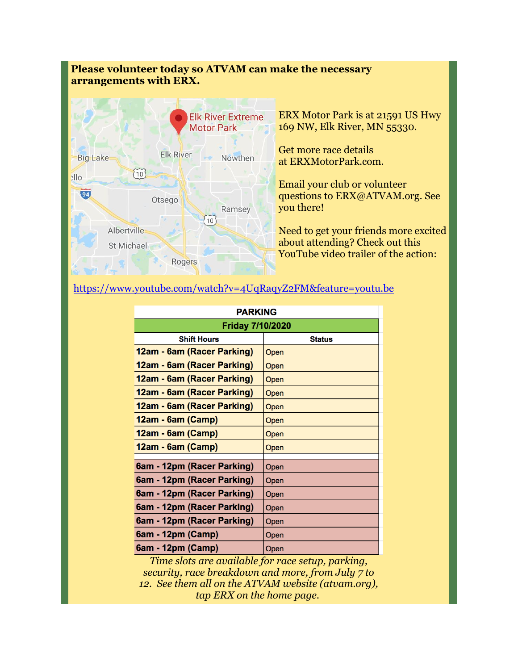#### **Please volunteer today so ATVAM can make the necessary arrangements with ERX.**



ERX Motor Park is at 21591 US Hwy 169 NW, Elk River, MN 55330.

Get more race details at ERXMotorPark.com.

Email your club or volunteer questions to ERX@ATVAM.org. See you there!

Need to get your friends more excited about attending? Check out this YouTube video trailer of the action:

#### [https://www.youtube.com/watch?v=4UqRaqyZ2FM&feature=youtu.be](http://r20.rs6.net/tn.jsp?f=001NIdW6i8ml0SY8tNt3boB99K5BxEIX8Pv_aI7V3IClxe_WKl6YHK1axuPB6PBVDvywqHkmf856EUaybYDIaAT7k7GGYYdFXrzMu6PHQnUGUD-eYd7qvkW6de2cqjeE7dEDloeWcG1_PlzFpYumlZrc9oGq8MfE7BhSc8AEMnEIt2fxO4MHOddYgTjXzllUKOjtdes97lcFwfOCJ1pmFX8f07WmAhI8f2rOcTlNYW69oE=&c=uRPuZfckS9y6ueIVdMCZTxBN23jLcCKNy_Tk09LPbvpi9X2gNpXyZw==&ch=RJ8s7BQbLcORvcTzw5rghzmdYHHcxWy4F72nZFEB_Eo5XURegc5Ufw==)

| <b>PARKING</b>             |               |
|----------------------------|---------------|
| <b>Friday 7/10/2020</b>    |               |
| <b>Shift Hours</b>         | <b>Status</b> |
| 12am - 6am (Racer Parking) | Open          |
| 12am - 6am (Racer Parking) | Open          |
| 12am - 6am (Racer Parking) | Open          |
| 12am - 6am (Racer Parking) | Open          |
| 12am - 6am (Racer Parking) | Open          |
| 12am - 6am (Camp)          | Open          |
| 12am - 6am (Camp)          | Open          |
| 12am - 6am (Camp)          | Open          |
|                            |               |
| 6am - 12pm (Racer Parking) | Open          |
| 6am - 12pm (Racer Parking) | Open          |
| 6am - 12pm (Racer Parking) | Open          |
| 6am - 12pm (Racer Parking) | Open          |
| 6am - 12pm (Racer Parking) | Open          |
| 6am - 12pm (Camp)          | Open          |
| 6am - 12pm (Camp)          | Open          |

*Time slots are available for race setup, parking, security, race breakdown and more, from July 7 to 12. See them all on the ATVAM website (atvam.org), tap ERX on the home page.*